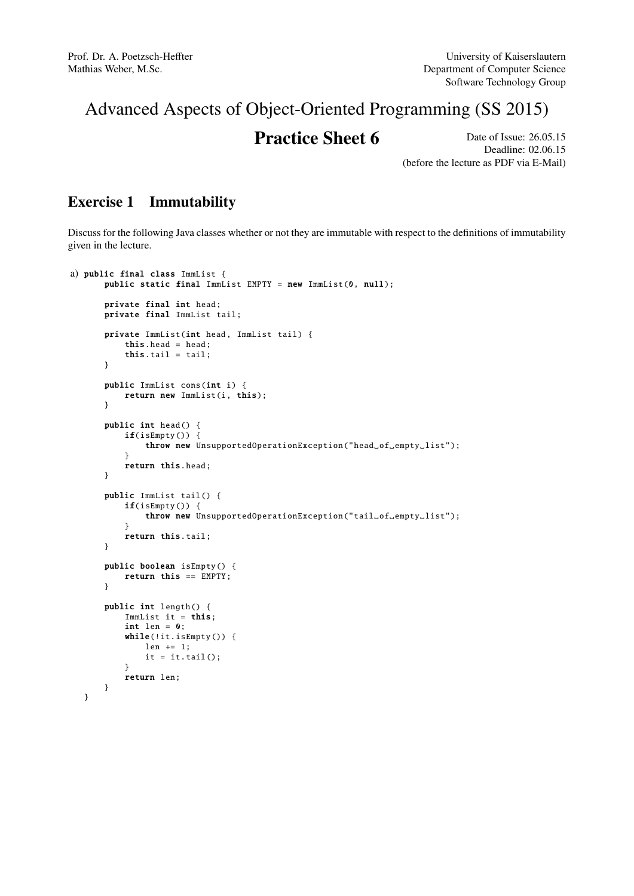# Advanced Aspects of Object-Oriented Programming (SS 2015)

## **Practice Sheet 6** Date of Issue: 26.05.15

Deadline: 02.06.15 (before the lecture as PDF via E-Mail)

### Exercise 1 Immutability

Discuss for the following Java classes whether or not they are immutable with respect to the definitions of immutability given in the lecture.

```
a) public final class ImmList {
      public static final ImmList EMPTY = new ImmList (0, null);
       private final int head;
      private final ImmList tail;
       private ImmList(int head, Immlist tail) {
           this.head = head;
           this.tail = tail;
      }
       public ImmList cons(int i) {
          return new ImmList(i, this);
       }
       public int head () {
           if(isEmpty ()) {
               throw new UnsupportedOperationException ("head_of_empty_list");
           \mathfrak{r}return this.head;
       }
       public ImmList tail () {
           if(isEmpty ()) {
               throw new UnsupportedOperationException ("tail_of_empty_list");
           }
           return this.tail;
      }
       public boolean isEmpty () {
           return this == EMPTY;
       }
       public int length () {
           ImmList it = this;
           int len = 0;
           while(!it.isEmpty()) {
               len += 1;
               it = it.tail();}
           return len;
      }
  }
```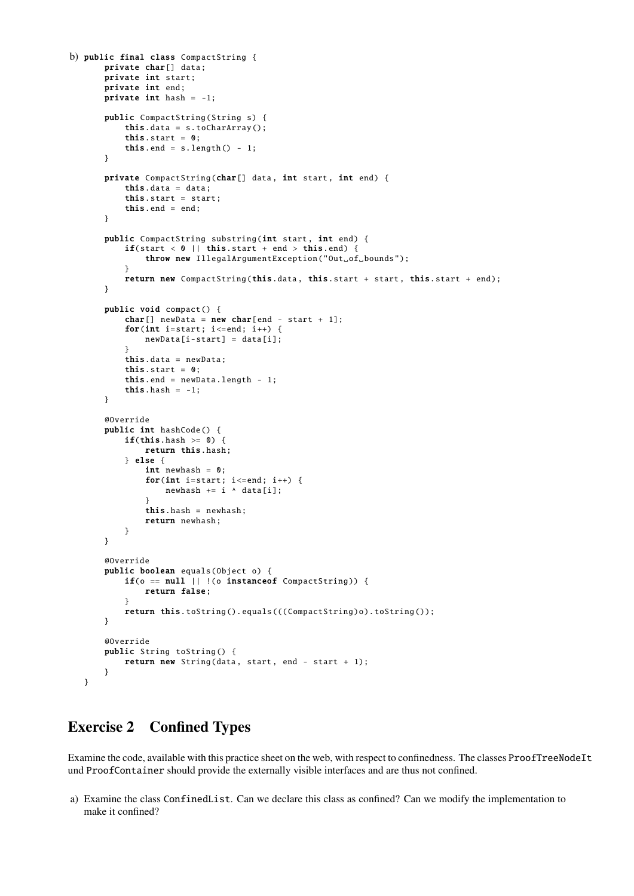```
b) public final class CompactString {
       private char[] data;
       private int start;
       private int end;
       private int hash = -1;
       public CompactString (String s) {
           this.data = s. toCharArray ();
           this.start = 0:
           this.end = s.length() - 1;}
       private CompactString (char[] data, int start, int end) {
           this.data = data;this.start = start;
           this.end = end;
       }
       public CompactString substring (int start, int end) {
           \textbf{if}(\text{start} < 0 \mid \mid \text{this.start} + \text{end} > \text{this.end}) {
               throw new IllegalArgumentException ("Out of bounds");
           }
           return new CompactString (this.data, this.start + start, this.start + end);
       }
       public void compact () {
           char[] newData = new char[end - start + 1];
           for(int i=start; i <= end; i++) {
               newData[i-start] = data[i];
            }
           this.data = newData;
           this.start = 0;
           this.end = newData.length - 1;
           this.hash = -1;
       }
       @Override
       public int hashCode () {
           if(this.hash >= 0) {
               return this.hash;
           } else {
               int newhash = 0;
               for(int i=start; i <= end; i++) {
                    newhash += i \land data[i];}
               this.hash = newhash;
               return newhash;
           }
       }
       @Override
       public boolean equals(Object o) {
           if(o == null || | (o instance of CompactString))return false;
           }
           return this.toString ().equals (((CompactString)o).toString());
       }
       @Override
       public String toString () {
           return new String(data, start, end - start + 1);
       }
   }
```
#### Exercise 2 Confined Types

Examine the code, available with this practice sheet on the web, with respect to confinedness. The classes ProofTreeNodeIt und ProofContainer should provide the externally visible interfaces and are thus not confined.

a) Examine the class ConfinedList. Can we declare this class as confined? Can we modify the implementation to make it confined?